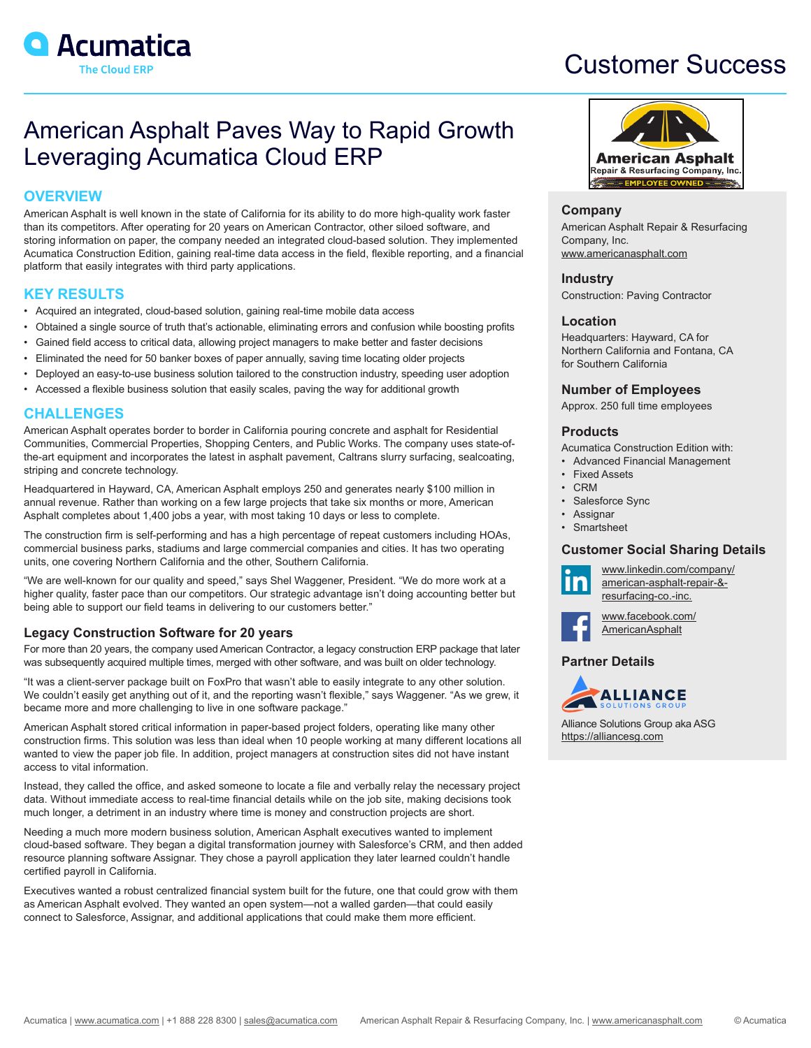

# Customer Success

## American Asphalt Paves Way to Rapid Growth Leveraging Acumatica Cloud ERP

## **OVERVIEW**

American Asphalt is well known in the state of California for its ability to do more high-quality work faster than its competitors. After operating for 20 years on American Contractor, other siloed software, and storing information on paper, the company needed an integrated cloud-based solution. They implemented Acumatica Construction Edition, gaining real-time data access in the field, flexible reporting, and a financial platform that easily integrates with third party applications.

## **KEY RESULTS**

- Acquired an integrated, cloud-based solution, gaining real-time mobile data access
- Obtained a single source of truth that's actionable, eliminating errors and confusion while boosting profits
- Gained field access to critical data, allowing project managers to make better and faster decisions
- Eliminated the need for 50 banker boxes of paper annually, saving time locating older projects
- Deployed an easy-to-use business solution tailored to the construction industry, speeding user adoption
- Accessed a flexible business solution that easily scales, paving the way for additional growth

## **CHALLENGES**

American Asphalt operates border to border in California pouring concrete and asphalt for Residential Communities, Commercial Properties, Shopping Centers, and Public Works. The company uses state-ofthe-art equipment and incorporates the latest in asphalt pavement, Caltrans slurry surfacing, sealcoating, striping and concrete technology.

Headquartered in Hayward, CA, American Asphalt employs 250 and generates nearly \$100 million in annual revenue. Rather than working on a few large projects that take six months or more, American Asphalt completes about 1,400 jobs a year, with most taking 10 days or less to complete.

The construction firm is self-performing and has a high percentage of repeat customers including HOAs, commercial business parks, stadiums and large commercial companies and cities. It has two operating units, one covering Northern California and the other, Southern California.

"We are well-known for our quality and speed," says Shel Waggener, President. "We do more work at a higher quality, faster pace than our competitors. Our strategic advantage isn't doing accounting better but being able to support our field teams in delivering to our customers better."

## **Legacy Construction Software for 20 years**

For more than 20 years, the company used American Contractor, a legacy construction ERP package that later was subsequently acquired multiple times, merged with other software, and was built on older technology.

"It was a client-server package built on FoxPro that wasn't able to easily integrate to any other solution. We couldn't easily get anything out of it, and the reporting wasn't flexible," says Waggener. "As we grew, it became more and more challenging to live in one software package."

American Asphalt stored critical information in paper-based project folders, operating like many other construction firms. This solution was less than ideal when 10 people working at many different locations all wanted to view the paper job file. In addition, project managers at construction sites did not have instant access to vital information.

Instead, they called the office, and asked someone to locate a file and verbally relay the necessary project data. Without immediate access to real-time financial details while on the job site, making decisions took much longer, a detriment in an industry where time is money and construction projects are short.

Needing a much more modern business solution, American Asphalt executives wanted to implement cloud-based software. They began a digital transformation journey with Salesforce's CRM, and then added resource planning software Assignar. They chose a payroll application they later learned couldn't handle certified payroll in California.

Executives wanted a robust centralized financial system built for the future, one that could grow with them as American Asphalt evolved. They wanted an open system—not a walled garden—that could easily connect to Salesforce, Assignar, and additional applications that could make them more efficient.



#### **Company**

American Asphalt Repair & Resurfacing Company, Inc. [www.americanasphalt.com](http://www.americanasphalt.com)

## **Industry**

Construction: Paving Contractor

## **Location**

Headquarters: Hayward, CA for Northern California and Fontana, CA for Southern California

## **Number of Employees**

Approx. 250 full time employees

## **Products**

Acumatica Construction Edition with:

- Advanced Financial Management
- **Fixed Assets** • CRM
- Salesforce Sync
- **Assignar**
- **Smartsheet**

## **Customer Social Sharing Details**



[www.linkedin.com/company/](https://www.linkedin.com/company/american-asphalt-repair-&-resurfacing-co.-inc.) [american-asphalt-repair-&](https://www.linkedin.com/company/american-asphalt-repair-&-resurfacing-co.-inc.) [resurfacing-co.-inc.](https://www.linkedin.com/company/american-asphalt-repair-&-resurfacing-co.-inc.)



[www.facebook.com/](https://www.facebook.com/AmericanAsphalt  ) **[AmericanAsphalt](https://www.facebook.com/AmericanAsphalt  )** 

## **Partner Details**



Alliance Solutions Group aka ASG [https://alliancesg.com](https://alliancesg.com/)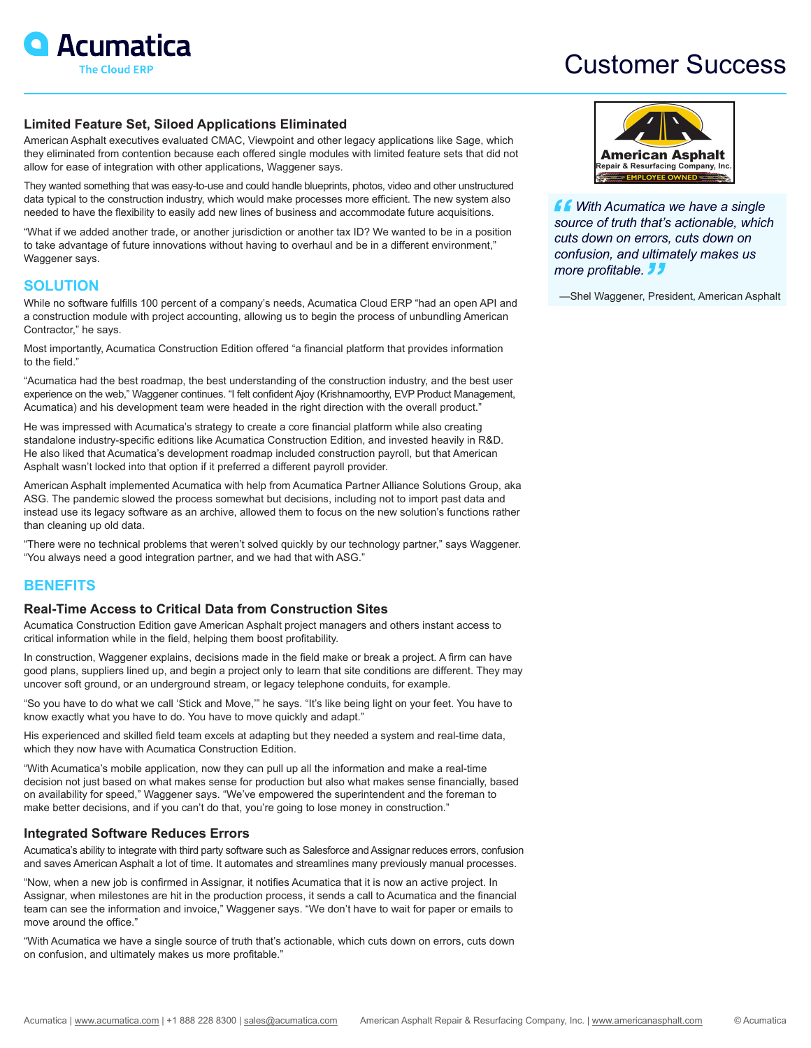

## Customer Success

## **Limited Feature Set, Siloed Applications Eliminated**

American Asphalt executives evaluated CMAC, Viewpoint and other legacy applications like Sage, which they eliminated from contention because each offered single modules with limited feature sets that did not allow for ease of integration with other applications, Waggener says.

They wanted something that was easy-to-use and could handle blueprints, photos, video and other unstructured data typical to the construction industry, which would make processes more efficient. The new system also needed to have the flexibility to easily add new lines of business and accommodate future acquisitions.

"What if we added another trade, or another jurisdiction or another tax ID? We wanted to be in a position to take advantage of future innovations without having to overhaul and be in a different environment," Waggener says.

## **SOLUTION**

While no software fulfills 100 percent of a company's needs, Acumatica Cloud ERP "had an open API and a construction module with project accounting, allowing us to begin the process of unbundling American Contractor," he says.

Most importantly, Acumatica Construction Edition offered "a financial platform that provides information to the field."

"Acumatica had the best roadmap, the best understanding of the construction industry, and the best user experience on the web," Waggener continues. "I felt confident Ajoy (Krishnamoorthy, EVP Product Management, Acumatica) and his development team were headed in the right direction with the overall product."

He was impressed with Acumatica's strategy to create a core financial platform while also creating standalone industry-specific editions like Acumatica Construction Edition, and invested heavily in R&D. He also liked that Acumatica's development roadmap included construction payroll, but that American Asphalt wasn't locked into that option if it preferred a different payroll provider.

American Asphalt implemented Acumatica with help from Acumatica Partner Alliance Solutions Group, aka ASG. The pandemic slowed the process somewhat but decisions, including not to import past data and instead use its legacy software as an archive, allowed them to focus on the new solution's functions rather than cleaning up old data.

"There were no technical problems that weren't solved quickly by our technology partner," says Waggener. "You always need a good integration partner, and we had that with ASG."

## **BENEFITS**

#### **Real-Time Access to Critical Data from Construction Sites**

Acumatica Construction Edition gave American Asphalt project managers and others instant access to critical information while in the field, helping them boost profitability.

In construction, Waggener explains, decisions made in the field make or break a project. A firm can have good plans, suppliers lined up, and begin a project only to learn that site conditions are different. They may uncover soft ground, or an underground stream, or legacy telephone conduits, for example.

"So you have to do what we call 'Stick and Move,'" he says. "It's like being light on your feet. You have to know exactly what you have to do. You have to move quickly and adapt."

His experienced and skilled field team excels at adapting but they needed a system and real-time data, which they now have with Acumatica Construction Edition.

"With Acumatica's mobile application, now they can pull up all the information and make a real-time decision not just based on what makes sense for production but also what makes sense financially, based on availability for speed," Waggener says. "We've empowered the superintendent and the foreman to make better decisions, and if you can't do that, you're going to lose money in construction."

## **Integrated Software Reduces Errors**

Acumatica's ability to integrate with third party software such as Salesforce and Assignar reduces errors, confusion and saves American Asphalt a lot of time. It automates and streamlines many previously manual processes.

"Now, when a new job is confirmed in Assignar, it notifies Acumatica that it is now an active project. In Assignar, when milestones are hit in the production process, it sends a call to Acumatica and the financial team can see the information and invoice," Waggener says. "We don't have to wait for paper or emails to move around the office."

"With Acumatica we have a single source of truth that's actionable, which cuts down on errors, cuts down on confusion, and ultimately makes us more profitable."



 *With Acumatica we have a single source of truth that's actionable, which cuts down on errors, cuts down on confusion, and ultimately makes us more profitable.* 

—Shel Waggener, President, American Asphalt